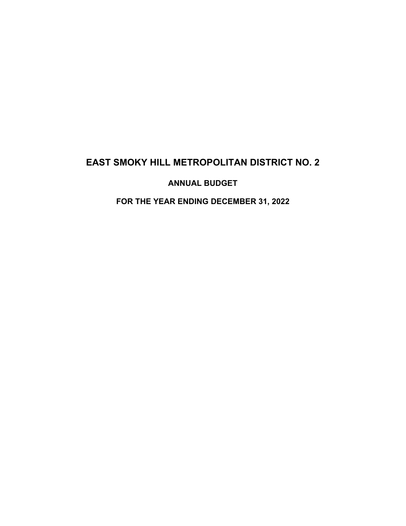# **EAST SMOKY HILL METROPOLITAN DISTRICT NO. 2**

## **ANNUAL BUDGET**

## **FOR THE YEAR ENDING DECEMBER 31, 2022**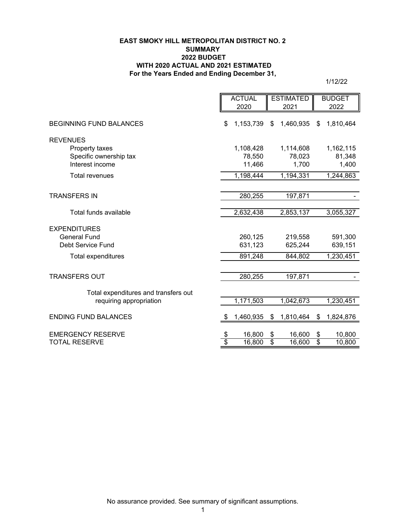#### **EAST SMOKY HILL METROPOLITAN DISTRICT NO. 2 SUMMARY 2022 BUDGET WITH 2020 ACTUAL AND 2021 ESTIMATED For the Years Ended and Ending December 31,**

1/12/22

|                                                                                                                   | <b>ACTUAL</b>                 |                                            | <b>ESTIMATED</b>               |                                            | <b>BUDGET</b>                          |                               |  |  |
|-------------------------------------------------------------------------------------------------------------------|-------------------------------|--------------------------------------------|--------------------------------|--------------------------------------------|----------------------------------------|-------------------------------|--|--|
|                                                                                                                   |                               | 2020                                       |                                | 2021                                       |                                        | 2022                          |  |  |
| <b>BEGINNING FUND BALANCES</b>                                                                                    | \$                            | 1,153,739                                  | \$                             | 1,460,935                                  | \$                                     | 1,810,464                     |  |  |
| <b>REVENUES</b>                                                                                                   |                               |                                            |                                |                                            |                                        |                               |  |  |
| Property taxes                                                                                                    |                               | 1,108,428                                  |                                | 1,114,608                                  |                                        | 1,162,115                     |  |  |
| Specific ownership tax                                                                                            |                               | 78,550                                     |                                | 78,023                                     |                                        | 81,348                        |  |  |
| Interest income                                                                                                   |                               | 11,466                                     |                                | 1,700                                      |                                        | 1,400                         |  |  |
| <b>Total revenues</b>                                                                                             |                               | 1,198,444                                  |                                | 1,194,331                                  |                                        | 1,244,863                     |  |  |
|                                                                                                                   |                               |                                            |                                |                                            |                                        |                               |  |  |
| <b>TRANSFERS IN</b>                                                                                               |                               | 280,255                                    |                                | 197,871                                    |                                        |                               |  |  |
|                                                                                                                   |                               |                                            |                                |                                            |                                        |                               |  |  |
|                                                                                                                   |                               |                                            |                                |                                            |                                        | 3,055,327                     |  |  |
| <b>EXPENDITURES</b>                                                                                               |                               |                                            |                                |                                            |                                        |                               |  |  |
| <b>General Fund</b>                                                                                               |                               | 260,125                                    |                                | 219,558                                    |                                        | 591,300                       |  |  |
| Debt Service Fund                                                                                                 |                               | 631,123                                    |                                | 625,244                                    |                                        | 639,151                       |  |  |
| Total expenditures                                                                                                |                               | 891,248<br>844,802                         |                                |                                            |                                        | 1,230,451                     |  |  |
|                                                                                                                   |                               |                                            |                                |                                            |                                        |                               |  |  |
| <b>TRANSFERS OUT</b>                                                                                              |                               | 280,255                                    |                                | 197,871                                    |                                        |                               |  |  |
|                                                                                                                   |                               |                                            |                                |                                            |                                        |                               |  |  |
| requiring appropriation                                                                                           |                               | 1,171,503                                  |                                | 1,042,673                                  |                                        | 1,230,451                     |  |  |
|                                                                                                                   |                               |                                            |                                |                                            |                                        |                               |  |  |
| <b>ENDING FUND BALANCES</b>                                                                                       | S                             |                                            | \$                             |                                            |                                        |                               |  |  |
|                                                                                                                   |                               |                                            |                                |                                            |                                        |                               |  |  |
|                                                                                                                   |                               |                                            |                                |                                            |                                        |                               |  |  |
| Total funds available<br>Total expenditures and transfers out<br><b>EMERGENCY RESERVE</b><br><b>TOTAL RESERVE</b> | \$<br>$\overline{\mathbb{S}}$ | 2,632,438<br>1,460,935<br>16,800<br>16,800 | \$<br>$\overline{\mathcal{E}}$ | 2,853,137<br>1,810,464<br>16,600<br>16,600 | - \$<br>\$<br>$\overline{\mathcal{S}}$ | 1,824,876<br>10,800<br>10,800 |  |  |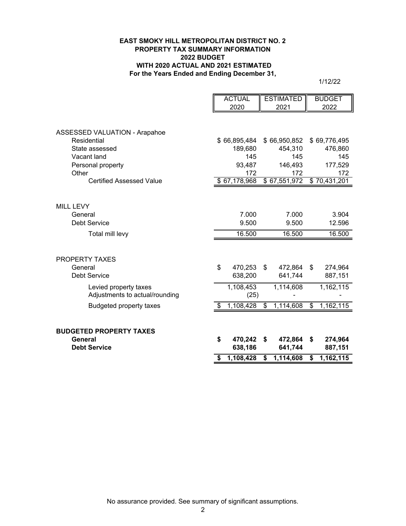#### **EAST SMOKY HILL METROPOLITAN DISTRICT NO. 2 PROPERTY TAX SUMMARY INFORMATION 2022 BUDGET WITH 2020 ACTUAL AND 2021 ESTIMATED For the Years Ended and Ending December 31,**

1/12/22

|                                           | <b>ACTUAL</b> |              | <b>ESTIMATED</b> |              | <b>BUDGET</b>   |
|-------------------------------------------|---------------|--------------|------------------|--------------|-----------------|
|                                           |               | 2020         |                  | 2021         | 2022            |
|                                           |               |              |                  |              |                 |
| ASSESSED VALUATION - Arapahoe             |               |              |                  |              |                 |
| Residential                               |               | \$66,895,484 |                  | \$66,950,852 | \$69,776,495    |
| State assessed                            |               | 189,680      |                  | 454,310      | 476,860         |
| Vacant land                               |               | 145          |                  | 145          | 145             |
| Personal property                         |               | 93,487       |                  | 146,493      | 177,529         |
| Other                                     |               | 172          |                  | 172          | 172             |
| <b>Certified Assessed Value</b>           |               | \$67,178,968 |                  | \$67,551,972 | \$70,431,201    |
|                                           |               |              |                  |              |                 |
| <b>MILL LEVY</b>                          |               |              |                  |              |                 |
| General                                   |               | 7.000        |                  | 7.000        | 3.904           |
| <b>Debt Service</b>                       |               | 9.500        |                  | 9.500        | 12.596          |
| Total mill levy                           |               | 16.500       |                  | 16.500       | 16.500          |
|                                           |               |              |                  |              |                 |
|                                           |               |              |                  |              |                 |
| PROPERTY TAXES                            |               |              |                  |              |                 |
| General                                   | \$            | 470,253      | \$               | 472,864      | \$<br>274,964   |
| <b>Debt Service</b>                       |               | 638,200      |                  | 641,744      | 887,151         |
| Levied property taxes                     |               | 1,108,453    |                  | 1,114,608    | 1,162,115       |
| Adjustments to actual/rounding            |               | (25)         |                  |              |                 |
| <b>Budgeted property taxes</b>            | \$            | 1,108,428    | \$               | 1,114,608    | \$<br>1,162,115 |
|                                           |               |              |                  |              |                 |
|                                           |               |              |                  |              |                 |
| <b>BUDGETED PROPERTY TAXES</b><br>General | \$            | 470,242      | \$               | 472,864      | \$<br>274,964   |
| <b>Debt Service</b>                       |               | 638,186      |                  | 641,744      | 887,151         |
|                                           |               |              |                  |              |                 |
|                                           | \$            | 1,108,428    | \$               | 1,114,608    | \$<br>1,162,115 |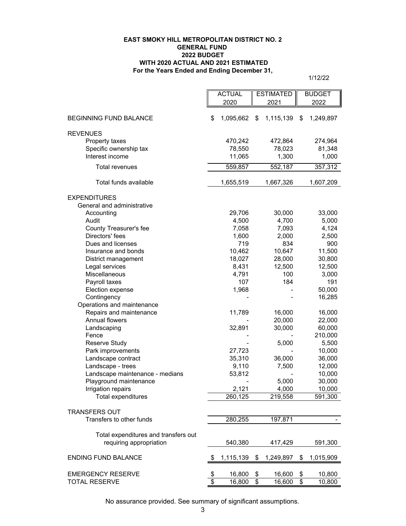#### **For the Years Ended and Ending December 31, EAST SMOKY HILL METROPOLITAN DISTRICT NO. 2 GENERAL FUND 2022 BUDGET WITH 2020 ACTUAL AND 2021 ESTIMATED**

1/12/22

÷.

|                                      |                 | <b>ACTUAL</b>    | <b>ESTIMATED</b> |           | <b>BUDGET</b>   |                   |
|--------------------------------------|-----------------|------------------|------------------|-----------|-----------------|-------------------|
|                                      |                 | 2020<br>2021     |                  |           | 2022            |                   |
| <b>BEGINNING FUND BALANCE</b>        | \$              | 1,095,662        | \$               | 1,115,139 | \$              | 1,249,897         |
| <b>REVENUES</b>                      |                 |                  |                  |           |                 |                   |
| Property taxes                       |                 | 470,242          |                  | 472,864   |                 | 274,964           |
| Specific ownership tax               |                 | 78,550           |                  | 78,023    |                 | 81,348            |
| Interest income                      |                 | 11,065           |                  | 1,300     |                 | 1,000             |
| Total revenues                       |                 | 559,857          |                  | 552,187   |                 | 357,312           |
| Total funds available                |                 | 1,655,519        |                  | 1,667,326 |                 | 1,607,209         |
| <b>EXPENDITURES</b>                  |                 |                  |                  |           |                 |                   |
| General and administrative           |                 |                  |                  |           |                 |                   |
| Accounting                           |                 | 29,706           |                  | 30,000    |                 | 33,000            |
| Audit                                |                 | 4,500            |                  | 4,700     |                 | 5,000             |
| County Treasurer's fee               |                 | 7,058            |                  | 7,093     |                 | 4,124             |
| Directors' fees                      |                 | 1,600            |                  | 2,000     |                 | 2,500             |
| Dues and licenses                    |                 | 719              |                  | 834       |                 | 900               |
| Insurance and bonds                  |                 | 10,462           |                  | 10,647    |                 | 11,500            |
| District management                  |                 | 18,027           |                  | 28,000    |                 | 30,800            |
| Legal services                       |                 | 8,431            |                  | 12,500    |                 | 12,500            |
| Miscellaneous                        |                 | 4,791            |                  | 100       |                 | 3,000             |
| Payroll taxes                        |                 | 107              |                  | 184       |                 | 191               |
| Election expense                     |                 | 1,968            |                  |           |                 | 50,000            |
| Contingency                          |                 |                  |                  |           |                 | 16,285            |
| Operations and maintenance           |                 |                  |                  |           |                 |                   |
| Repairs and maintenance              |                 | 11,789           |                  | 16,000    |                 | 16,000            |
| Annual flowers                       |                 |                  |                  | 20,000    |                 | 22,000            |
| Landscaping                          |                 | 32,891           |                  | 30,000    |                 | 60,000            |
| Fence                                |                 |                  |                  |           |                 | 210,000           |
| <b>Reserve Study</b>                 |                 |                  |                  | 5,000     |                 | 5,500             |
| Park improvements                    |                 | 27,723           |                  |           |                 | 10,000            |
| Landscape contract                   |                 | 35,310           |                  | 36,000    |                 | 36,000            |
| Landscape - trees                    |                 | 9,110            |                  | 7,500     |                 | 12,000            |
| Landscape maintenance - medians      |                 | 53,812           |                  |           |                 | 10,000            |
| Playground maintenance               |                 |                  |                  | 5,000     |                 | 30,000            |
| Irrigation repairs                   |                 | 2,121<br>260,125 |                  | 4,000     |                 | 10,000<br>591,300 |
| Total expenditures                   |                 |                  |                  | 219,558   |                 |                   |
| <b>TRANSFERS OUT</b>                 |                 |                  |                  |           |                 |                   |
| Transfers to other funds             |                 | 280,255          |                  | 197,871   |                 |                   |
| Total expenditures and transfers out |                 |                  |                  |           |                 |                   |
| requiring appropriation              |                 | 540,380          |                  | 417,429   |                 | 591,300           |
| <b>ENDING FUND BALANCE</b>           | \$              | 1,115,139        | \$               | 1,249,897 | \$              | 1,015,909         |
|                                      |                 |                  |                  |           |                 |                   |
| <b>EMERGENCY RESERVE</b>             | \$              | 16,800           | \$               | 16,600    | \$              | 10,800            |
| <b>TOTAL RESERVE</b>                 | $\overline{\$}$ | 16,800           | $\overline{\$}$  | 16,600    | $\overline{\$}$ | 10,800            |

No assurance provided. See summary of significant assumptions.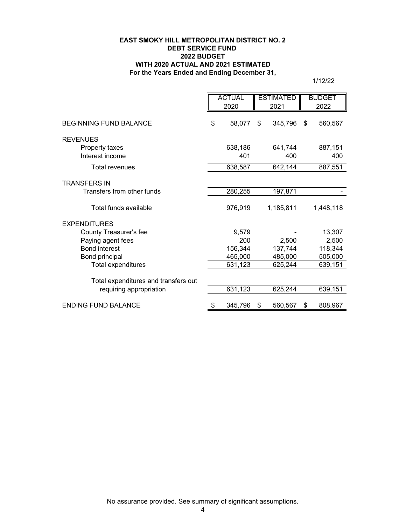#### **EAST SMOKY HILL METROPOLITAN DISTRICT NO. 2 DEBT SERVICE FUND 2022 BUDGET WITH 2020 ACTUAL AND 2021 ESTIMATED For the Years Ended and Ending December 31,**

1/12/22

|                                      | <b>ACTUAL</b><br>2020 |                | <b>ESTIMATED</b><br>2021 |                |    | <b>BUDGET</b><br>2022 |
|--------------------------------------|-----------------------|----------------|--------------------------|----------------|----|-----------------------|
|                                      |                       |                |                          |                |    |                       |
| <b>BEGINNING FUND BALANCE</b>        | \$                    | 58,077         | \$                       | 345,796        | \$ | 560,567               |
| <b>REVENUES</b>                      |                       |                |                          |                |    |                       |
| Property taxes<br>Interest income    |                       | 638,186<br>401 |                          | 641,744<br>400 |    | 887,151<br>400        |
| <b>Total revenues</b>                |                       | 638,587        |                          | 642,144        |    | 887,551               |
| <b>TRANSFERS IN</b>                  |                       |                |                          |                |    |                       |
| Transfers from other funds           |                       | 280,255        |                          | 197,871        |    |                       |
| Total funds available                |                       | 976,919        |                          | 1,185,811      |    | 1,448,118             |
| <b>EXPENDITURES</b>                  |                       |                |                          |                |    |                       |
| County Treasurer's fee               |                       | 9,579          |                          |                |    | 13,307                |
| Paying agent fees                    |                       | 200            |                          | 2,500          |    | 2,500                 |
| <b>Bond interest</b>                 |                       | 156,344        |                          | 137,744        |    | 118,344               |
| Bond principal                       |                       | 465,000        |                          | 485,000        |    | 505,000               |
| Total expenditures                   |                       | 631,123        |                          | 625,244        |    | 639,151               |
| Total expenditures and transfers out |                       |                |                          |                |    |                       |
| requiring appropriation              |                       | 631,123        |                          | 625,244        |    | 639,151               |
| <b>ENDING FUND BALANCE</b>           | \$                    | 345,796        | \$                       | 560,567        | \$ | 808,967               |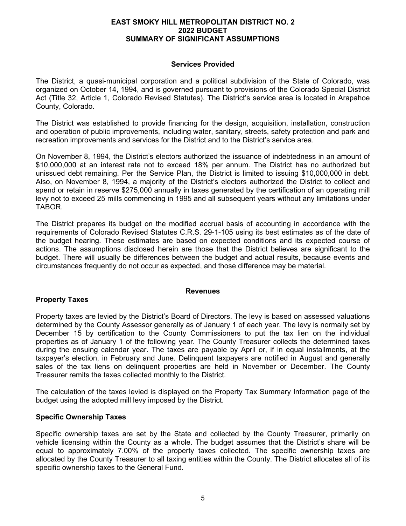#### **EAST SMOKY HILL METROPOLITAN DISTRICT NO. 2 2022 BUDGET SUMMARY OF SIGNIFICANT ASSUMPTIONS**

## **Services Provided**

The District, a quasi-municipal corporation and a political subdivision of the State of Colorado, was organized on October 14, 1994, and is governed pursuant to provisions of the Colorado Special District Act (Title 32, Article 1, Colorado Revised Statutes). The District's service area is located in Arapahoe County, Colorado.

The District was established to provide financing for the design, acquisition, installation, construction and operation of public improvements, including water, sanitary, streets, safety protection and park and recreation improvements and services for the District and to the District's service area.

On November 8, 1994, the District's electors authorized the issuance of indebtedness in an amount of \$10,000,000 at an interest rate not to exceed 18% per annum. The District has no authorized but unissued debt remaining. Per the Service Plan, the District is limited to issuing \$10,000,000 in debt. Also, on November 8, 1994, a majority of the District's electors authorized the District to collect and spend or retain in reserve \$275,000 annually in taxes generated by the certification of an operating mill levy not to exceed 25 mills commencing in 1995 and all subsequent years without any limitations under TABOR.

The District prepares its budget on the modified accrual basis of accounting in accordance with the requirements of Colorado Revised Statutes C.R.S. 29-1-105 using its best estimates as of the date of the budget hearing. These estimates are based on expected conditions and its expected course of actions. The assumptions disclosed herein are those that the District believes are significant to the budget. There will usually be differences between the budget and actual results, because events and circumstances frequently do not occur as expected, and those difference may be material.

## **Property Taxes**

## **Revenues**

Property taxes are levied by the District's Board of Directors. The levy is based on assessed valuations determined by the County Assessor generally as of January 1 of each year. The levy is normally set by December 15 by certification to the County Commissioners to put the tax lien on the individual properties as of January 1 of the following year. The County Treasurer collects the determined taxes during the ensuing calendar year. The taxes are payable by April or, if in equal installments, at the taxpayer's election, in February and June. Delinquent taxpayers are notified in August and generally sales of the tax liens on delinquent properties are held in November or December. The County Treasurer remits the taxes collected monthly to the District.

The calculation of the taxes levied is displayed on the Property Tax Summary Information page of the budget using the adopted mill levy imposed by the District.

## **Specific Ownership Taxes**

Specific ownership taxes are set by the State and collected by the County Treasurer, primarily on vehicle licensing within the County as a whole. The budget assumes that the District's share will be equal to approximately 7.00% of the property taxes collected. The specific ownership taxes are allocated by the County Treasurer to all taxing entities within the County. The District allocates all of its specific ownership taxes to the General Fund.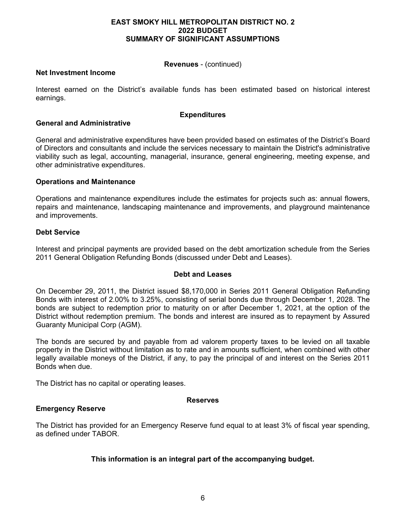#### **EAST SMOKY HILL METROPOLITAN DISTRICT NO. 2 2022 BUDGET SUMMARY OF SIGNIFICANT ASSUMPTIONS**

## **Revenues** - (continued)

## **Net Investment Income**

Interest earned on the District's available funds has been estimated based on historical interest earnings.

#### **Expenditures**

## **General and Administrative**

General and administrative expenditures have been provided based on estimates of the District's Board of Directors and consultants and include the services necessary to maintain the District's administrative viability such as legal, accounting, managerial, insurance, general engineering, meeting expense, and other administrative expenditures.

## **Operations and Maintenance**

Operations and maintenance expenditures include the estimates for projects such as: annual flowers, repairs and maintenance, landscaping maintenance and improvements, and playground maintenance and improvements.

## **Debt Service**

Interest and principal payments are provided based on the debt amortization schedule from the Series 2011 General Obligation Refunding Bonds (discussed under Debt and Leases).

#### **Debt and Leases**

On December 29, 2011, the District issued \$8,170,000 in Series 2011 General Obligation Refunding Bonds with interest of 2.00% to 3.25%, consisting of serial bonds due through December 1, 2028. The bonds are subject to redemption prior to maturity on or after December 1, 2021, at the option of the District without redemption premium. The bonds and interest are insured as to repayment by Assured Guaranty Municipal Corp (AGM).

The bonds are secured by and payable from ad valorem property taxes to be levied on all taxable property in the District without limitation as to rate and in amounts sufficient, when combined with other legally available moneys of the District, if any, to pay the principal of and interest on the Series 2011 Bonds when due.

The District has no capital or operating leases.

#### **Reserves**

#### **Emergency Reserve**

The District has provided for an Emergency Reserve fund equal to at least 3% of fiscal year spending, as defined under TABOR.

## **This information is an integral part of the accompanying budget.**